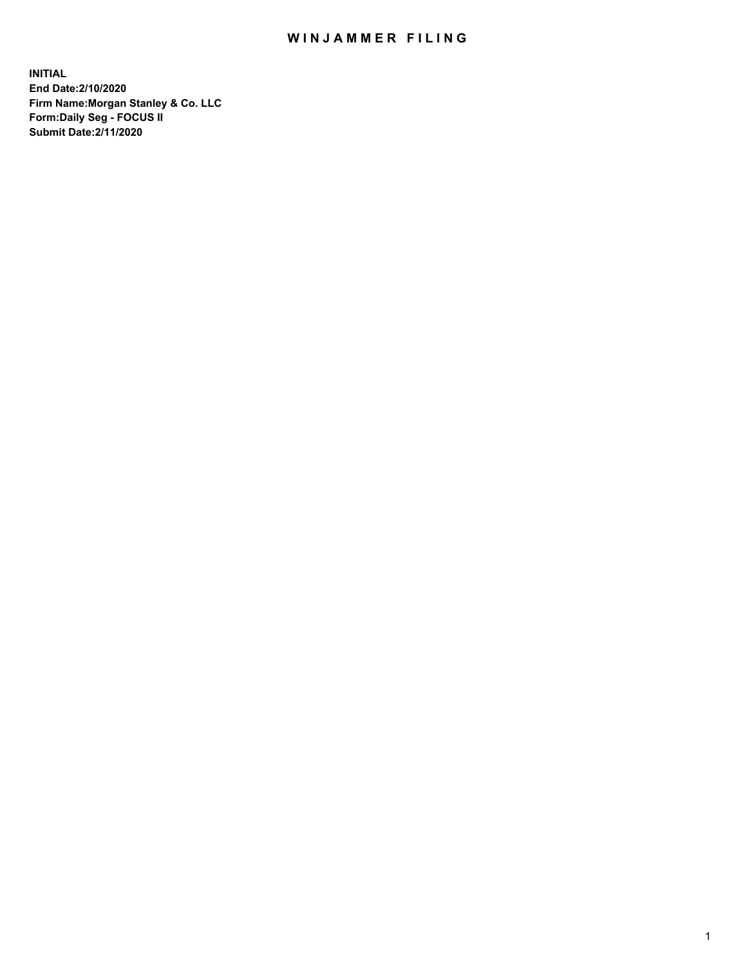## WIN JAMMER FILING

**INITIAL End Date:2/10/2020 Firm Name:Morgan Stanley & Co. LLC Form:Daily Seg - FOCUS II Submit Date:2/11/2020**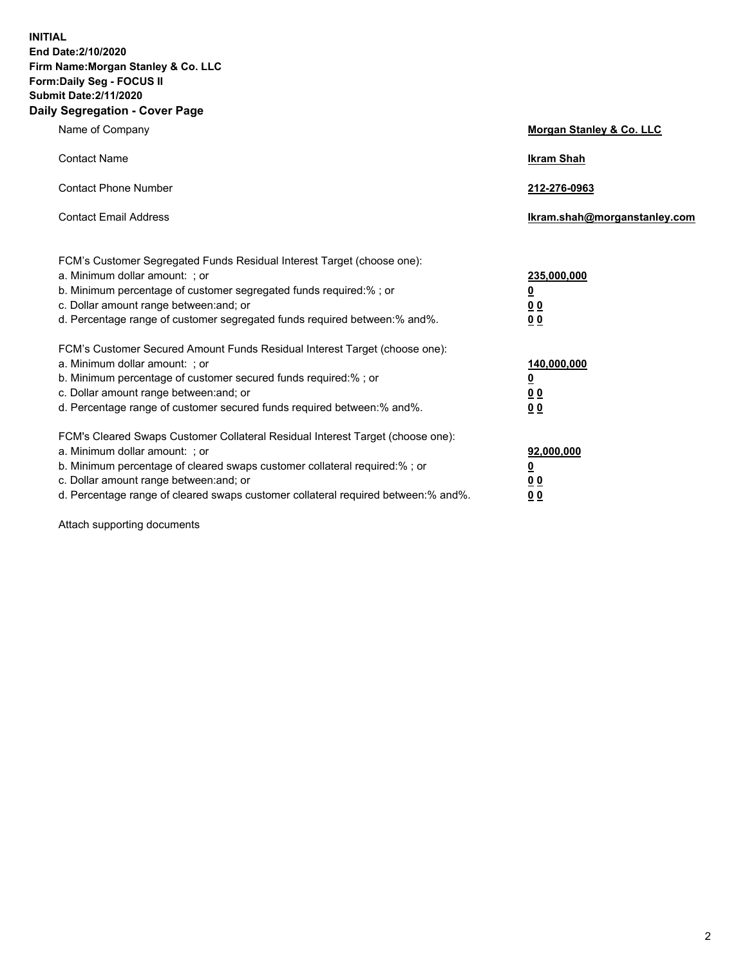**INITIAL End Date:2/10/2020 Firm Name:Morgan Stanley & Co. LLC Form:Daily Seg - FOCUS II Submit Date:2/11/2020 Daily Segregation - Cover Page**

| Name of Company                                                                                                                                                                                                                                                                                                                | Morgan Stanley & Co. LLC                                    |
|--------------------------------------------------------------------------------------------------------------------------------------------------------------------------------------------------------------------------------------------------------------------------------------------------------------------------------|-------------------------------------------------------------|
| <b>Contact Name</b>                                                                                                                                                                                                                                                                                                            | <b>Ikram Shah</b>                                           |
| <b>Contact Phone Number</b>                                                                                                                                                                                                                                                                                                    | 212-276-0963                                                |
| <b>Contact Email Address</b>                                                                                                                                                                                                                                                                                                   | Ikram.shah@morganstanley.com                                |
| FCM's Customer Segregated Funds Residual Interest Target (choose one):<br>a. Minimum dollar amount: ; or<br>b. Minimum percentage of customer segregated funds required:% ; or<br>c. Dollar amount range between: and; or<br>d. Percentage range of customer segregated funds required between:% and%.                         | 235,000,000<br><u>0</u><br>00<br>00                         |
| FCM's Customer Secured Amount Funds Residual Interest Target (choose one):<br>a. Minimum dollar amount: ; or<br>b. Minimum percentage of customer secured funds required:%; or<br>c. Dollar amount range between: and; or<br>d. Percentage range of customer secured funds required between: % and %.                          | 140,000,000<br><u>0</u><br>0 <sub>0</sub><br>0 <sub>0</sub> |
| FCM's Cleared Swaps Customer Collateral Residual Interest Target (choose one):<br>a. Minimum dollar amount: ; or<br>b. Minimum percentage of cleared swaps customer collateral required:% ; or<br>c. Dollar amount range between: and; or<br>d. Percentage range of cleared swaps customer collateral required between:% and%. | 92,000,000<br><u>0</u><br><u>00</u><br>00                   |

Attach supporting documents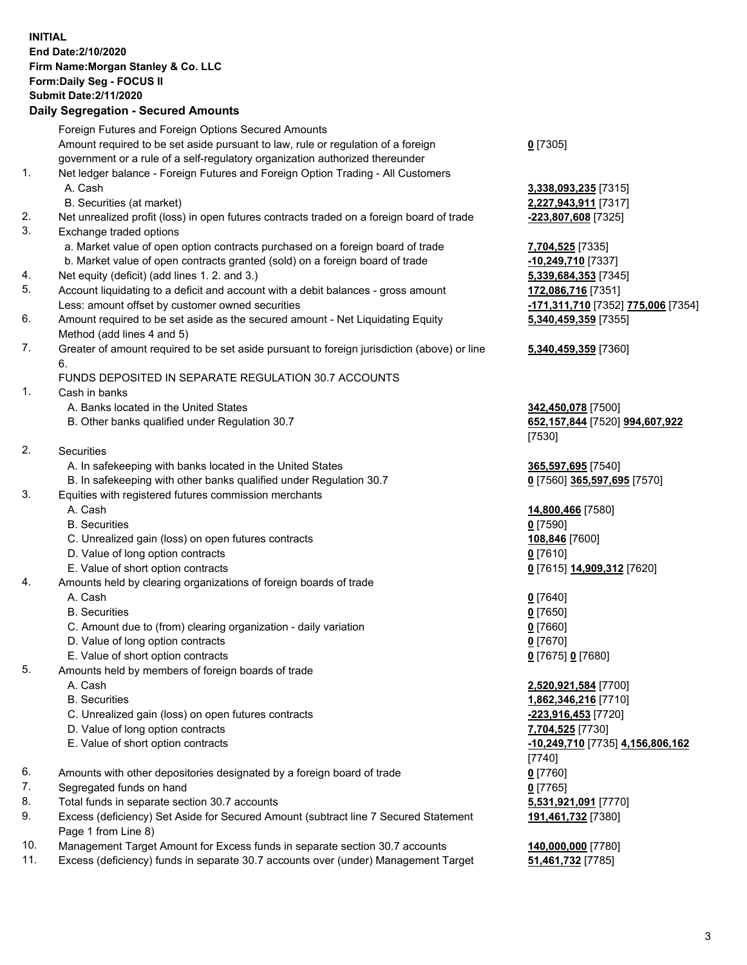## **INITIAL End Date:2/10/2020 Firm Name:Morgan Stanley & Co. LLC Form:Daily Seg - FOCUS II Submit Date:2/11/2020**

## **Daily Segregation - Secured Amounts**

Foreign Futures and Foreign Options Secured Amounts Amount required to be set aside pursuant to law, rule or regulation of a foreign government or a rule of a self-regulatory organization authorized thereunder 1. Net ledger balance - Foreign Futures and Foreign Option Trading - All Customers A. Cash **3,338,093,235** [7315] B. Securities (at market) **2,227,943,911** [7317] 2. Net unrealized profit (loss) in open futures contracts traded on a foreign board of trade **-223,807,608** [7325] 3. Exchange traded options a. Market value of open option contracts purchased on a foreign board of trade **7,704,525** [7335] b. Market value of open contracts granted (sold) on a foreign board of trade **-10,249,710** [7337] 4. Net equity (deficit) (add lines 1. 2. and 3.) **5,339,684,353** [7345] 5. Account liquidating to a deficit and account with a debit balances - gross amount **172,086,716** [7351] Less: amount offset by customer owned securities **-171,311,710** [7352] **775,006** [7354] 6. Amount required to be set aside as the secured amount - Net Liquidating Equity Method (add lines 4 and 5) 7. Greater of amount required to be set aside pursuant to foreign jurisdiction (above) or line 6. FUNDS DEPOSITED IN SEPARATE REGULATION 30.7 ACCOUNTS 1. Cash in banks A. Banks located in the United States **342,450,078** [7500] B. Other banks qualified under Regulation 30.7 **652,157,844** [7520] **994,607,922** 2. Securities A. In safekeeping with banks located in the United States **365,597,695** [7540] B. In safekeeping with other banks qualified under Regulation 30.7 **0** [7560] **365,597,695** [7570] 3. Equities with registered futures commission merchants A. Cash **14,800,466** [7580] B. Securities **0** [7590] C. Unrealized gain (loss) on open futures contracts **108,846** [7600] D. Value of long option contracts **0** [7610] E. Value of short option contracts **0** [7615] **14,909,312** [7620] 4. Amounts held by clearing organizations of foreign boards of trade A. Cash **0** [7640] B. Securities **0** [7650] C. Amount due to (from) clearing organization - daily variation **0** [7660] D. Value of long option contracts **0** [7670] E. Value of short option contracts **0** [7675] **0** [7680] 5. Amounts held by members of foreign boards of trade A. Cash **2,520,921,584** [7700] B. Securities **1,862,346,216** [7710] C. Unrealized gain (loss) on open futures contracts **-223,916,453** [7720] D. Value of long option contracts **7,704,525** [7730] E. Value of short option contracts **-10,249,710** [7735] **4,156,806,162** 6. Amounts with other depositories designated by a foreign board of trade **0** [7760] 7. Segregated funds on hand **0** [7765] 8. Total funds in separate section 30.7 accounts **5,531,921,091** [7770] 9. Excess (deficiency) Set Aside for Secured Amount (subtract line 7 Secured Statement Page 1 from Line 8)

- 10. Management Target Amount for Excess funds in separate section 30.7 accounts **140,000,000** [7780]
- 11. Excess (deficiency) funds in separate 30.7 accounts over (under) Management Target **51,461,732** [7785]

**0** [7305]

**5,340,459,359** [7355]

## **5,340,459,359** [7360]

[7530]

[7740] **191,461,732** [7380]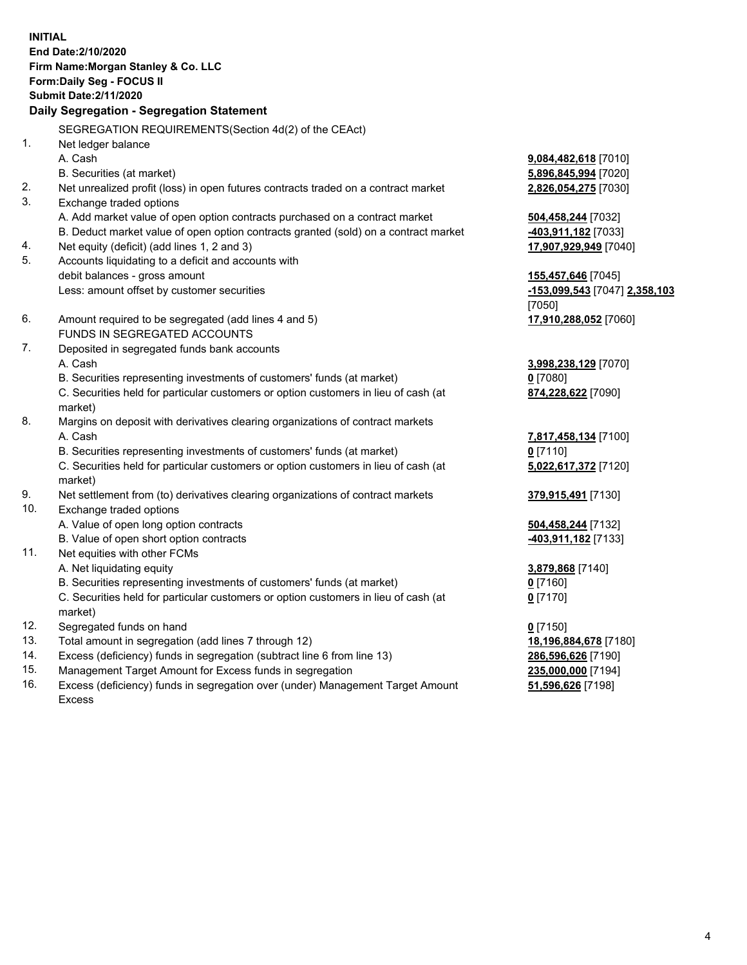**INITIAL End Date:2/10/2020 Firm Name:Morgan Stanley & Co. LLC Form:Daily Seg - FOCUS II Submit Date:2/11/2020 Daily Segregation - Segregation Statement** SEGREGATION REQUIREMENTS(Section 4d(2) of the CEAct) 1. Net ledger balance A. Cash **9,084,482,618** [7010] B. Securities (at market) **5,896,845,994** [7020] 2. Net unrealized profit (loss) in open futures contracts traded on a contract market **2,826,054,275** [7030] 3. Exchange traded options A. Add market value of open option contracts purchased on a contract market **504,458,244** [7032] B. Deduct market value of open option contracts granted (sold) on a contract market **-403,911,182** [7033] 4. Net equity (deficit) (add lines 1, 2 and 3) **17,907,929,949** [7040] 5. Accounts liquidating to a deficit and accounts with debit balances - gross amount **155,457,646** [7045] Less: amount offset by customer securities **-153,099,543** [7047] **2,358,103** [7050] 6. Amount required to be segregated (add lines 4 and 5) **17,910,288,052** [7060] FUNDS IN SEGREGATED ACCOUNTS 7. Deposited in segregated funds bank accounts A. Cash **3,998,238,129** [7070] B. Securities representing investments of customers' funds (at market) **0** [7080] C. Securities held for particular customers or option customers in lieu of cash (at market) **874,228,622** [7090] 8. Margins on deposit with derivatives clearing organizations of contract markets A. Cash **7,817,458,134** [7100] B. Securities representing investments of customers' funds (at market) **0** [7110] C. Securities held for particular customers or option customers in lieu of cash (at market) **5,022,617,372** [7120] 9. Net settlement from (to) derivatives clearing organizations of contract markets **379,915,491** [7130] 10. Exchange traded options A. Value of open long option contracts **504,458,244** [7132] B. Value of open short option contracts **-403,911,182** [7133] 11. Net equities with other FCMs A. Net liquidating equity **3,879,868** [7140] B. Securities representing investments of customers' funds (at market) **0** [7160] C. Securities held for particular customers or option customers in lieu of cash (at market) **0** [7170] 12. Segregated funds on hand **0** [7150] 13. Total amount in segregation (add lines 7 through 12) **18,196,884,678** [7180] 14. Excess (deficiency) funds in segregation (subtract line 6 from line 13) **286,596,626** [7190]

- 15. Management Target Amount for Excess funds in segregation **235,000,000** [7194]
- 16. Excess (deficiency) funds in segregation over (under) Management Target Amount Excess

**51,596,626** [7198]